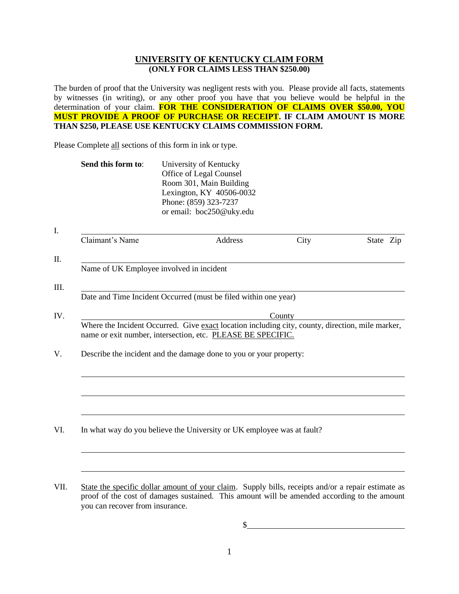## **UNIVERSITY OF KENTUCKY CLAIM FORM (ONLY FOR CLAIMS LESS THAN \$250.00)**

The burden of proof that the University was negligent rests with you. Please provide all facts, statements by witnesses (in writing), or any other proof you have that you believe would be helpful in the determination of your claim. FOR THE CONSIDERATION OF CLAIMS OVER \$50.00, YOU **MUST PROVIDE A PROOF OF PURCHASE OR RECEIPT. IF CLAIM AMOUNT IS MORE THAN \$250, PLEASE USE KENTUCKY CLAIMS COMMISSION FORM.**

Please Complete all sections of this form in ink or type.

I.

| Send this form to: | University of Kentucky   |  |
|--------------------|--------------------------|--|
|                    | Office of Legal Counsel  |  |
|                    | Room 301, Main Building  |  |
|                    | Lexington, KY 40506-0032 |  |
|                    | Phone: (859) 323-7237    |  |
|                    | or email: boc250@uky.edu |  |

| Claimant's Name                                                                                                                                                 | Address | City   | State Zip |
|-----------------------------------------------------------------------------------------------------------------------------------------------------------------|---------|--------|-----------|
|                                                                                                                                                                 |         |        |           |
| Name of UK Employee involved in incident                                                                                                                        |         |        |           |
|                                                                                                                                                                 |         |        |           |
| Date and Time Incident Occurred (must be filed within one year)                                                                                                 |         |        |           |
|                                                                                                                                                                 |         | County |           |
| Where the Incident Occurred. Give exact location including city, county, direction, mile marker,<br>name or exit number, intersection, etc. PLEASE BE SPECIFIC. |         |        |           |
| Describe the incident and the damage done to you or your property:                                                                                              |         |        |           |
|                                                                                                                                                                 |         |        |           |
|                                                                                                                                                                 |         |        |           |
|                                                                                                                                                                 |         |        |           |
|                                                                                                                                                                 |         |        |           |
|                                                                                                                                                                 |         |        |           |

VII. State the specific dollar amount of your claim. Supply bills, receipts and/or a repair estimate as proof of the cost of damages sustained. This amount will be amended according to the amount you can recover from insurance.

 $\sim$